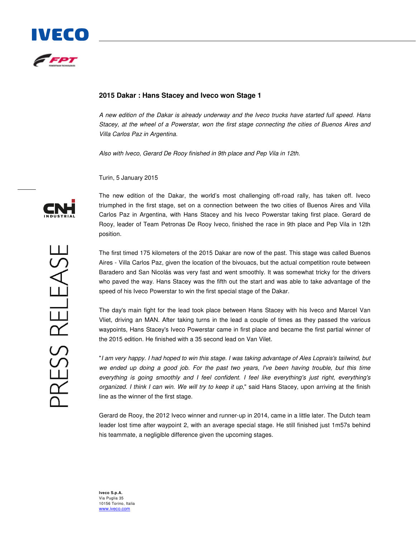

## **2015 Dakar : Hans Stacey and Iveco won Stage 1**

A new edition of the Dakar is already underway and the Iveco trucks have started full speed. Hans Stacey, at the wheel of a Powerstar, won the first stage connecting the cities of Buenos Aires and Villa Carlos Paz in Argentina.

Also with Iveco, Gerard De Rooy finished in 9th place and Pep Vila in 12th.

Turin, 5 January 2015



The new edition of the Dakar, the world's most challenging off-road rally, has taken off. Iveco triumphed in the first stage, set on a connection between the two cities of Buenos Aires and Villa Carlos Paz in Argentina, with Hans Stacey and his Iveco Powerstar taking first place. Gerard de Rooy, leader of Team Petronas De Rooy Iveco, finished the race in 9th place and Pep Vila in 12th position.

The first timed 175 kilometers of the 2015 Dakar are now of the past. This stage was called Buenos Aires - Villa Carlos Paz, given the location of the bivouacs, but the actual competition route between Baradero and San Nicolás was very fast and went smoothly. It was somewhat tricky for the drivers who paved the way. Hans Stacey was the fifth out the start and was able to take advantage of the speed of his Iveco Powerstar to win the first special stage of the Dakar.

The day's main fight for the lead took place between Hans Stacey with his Iveco and Marcel Van Vliet, driving an MAN. After taking turns in the lead a couple of times as they passed the various waypoints, Hans Stacey's Iveco Powerstar came in first place and became the first partial winner of the 2015 edition. He finished with a 35 second lead on Van Vilet.

"I am very happy. I had hoped to win this stage. I was taking advantage of Ales Loprais's tailwind, but we ended up doing a good job. For the past two years, I've been having trouble, but this time everything is going smoothly and I feel confident. I feel like everything's just right, everything's organized. I think I can win. We will try to keep it up," said Hans Stacey, upon arriving at the finish line as the winner of the first stage.

Gerard de Rooy, the 2012 Iveco winner and runner-up in 2014, came in a little later. The Dutch team leader lost time after waypoint 2, with an average special stage. He still finished just 1m57s behind his teammate, a negligible difference given the upcoming stages.